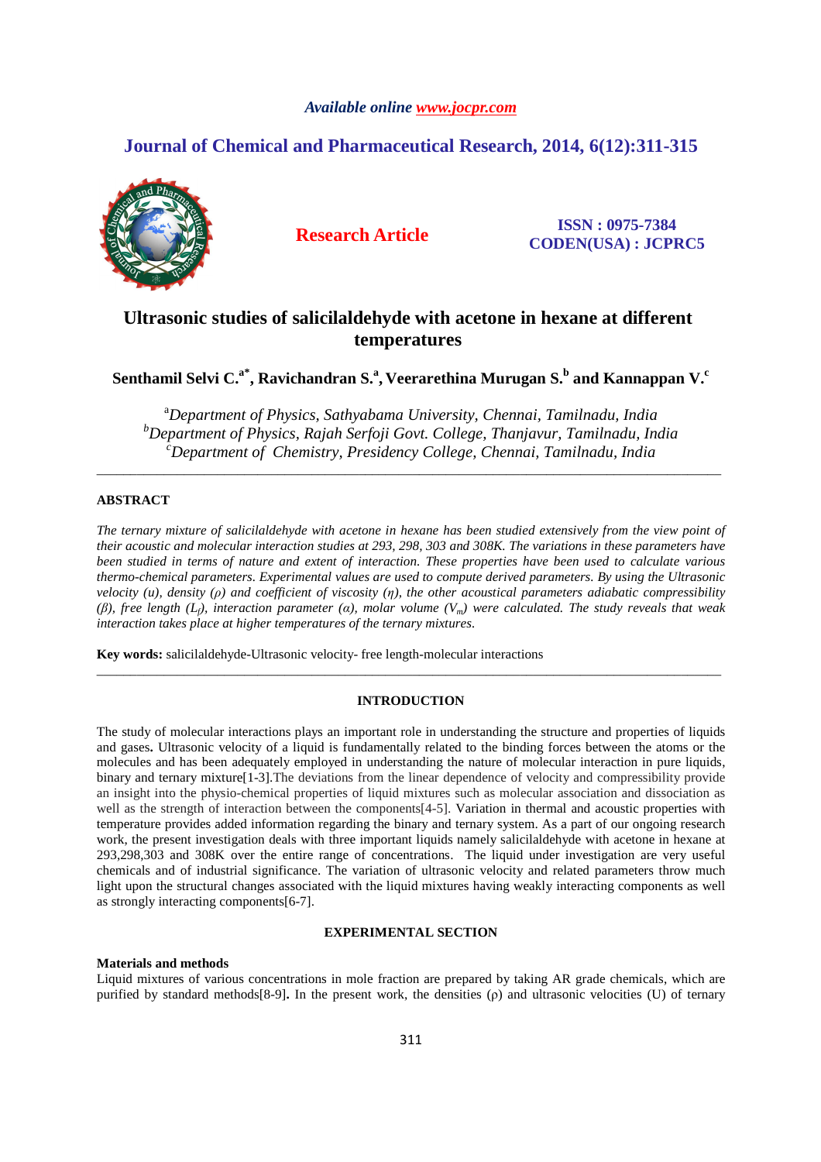## *Available online www.jocpr.com*

# **Journal of Chemical and Pharmaceutical Research, 2014, 6(12):311-315**



**Research Article ISSN : 0975-7384 CODEN(USA) : JCPRC5**

# **Ultrasonic studies of salicilaldehyde with acetone in hexane at different temperatures**

# **Senthamil Selvi C.a\*, Ravichandran S.<sup>a</sup> , Veerarethina Murugan S.<sup>b</sup> and Kannappan V.<sup>c</sup>**

<sup>a</sup>*Department of Physics, Sathyabama University, Chennai, Tamilnadu, India <sup>b</sup>Department of Physics, Rajah Serfoji Govt. College, Thanjavur, Tamilnadu, India <sup>c</sup>Department of Chemistry, Presidency College, Chennai, Tamilnadu, India* 

\_\_\_\_\_\_\_\_\_\_\_\_\_\_\_\_\_\_\_\_\_\_\_\_\_\_\_\_\_\_\_\_\_\_\_\_\_\_\_\_\_\_\_\_\_\_\_\_\_\_\_\_\_\_\_\_\_\_\_\_\_\_\_\_\_\_\_\_\_\_\_\_\_\_\_\_\_\_\_\_\_\_\_\_\_\_\_\_\_\_\_\_\_

# **ABSTRACT**

*The ternary mixture of salicilaldehyde with acetone in hexane has been studied extensively from the view point of their acoustic and molecular interaction studies at 293, 298, 303 and 308K. The variations in these parameters have been studied in terms of nature and extent of interaction. These properties have been used to calculate various thermo-chemical parameters. Experimental values are used to compute derived parameters. By using the Ultrasonic velocity (u), density (ρ) and coefficient of viscosity (η), the other acoustical parameters adiabatic compressibility (β), free length (Lf), interaction parameter (α), molar volume (Vm) were calculated. The study reveals that weak interaction takes place at higher temperatures of the ternary mixtures.* 

**Key words:** salicilaldehyde-Ultrasonic velocity- free length-molecular interactions

## **INTRODUCTION**

\_\_\_\_\_\_\_\_\_\_\_\_\_\_\_\_\_\_\_\_\_\_\_\_\_\_\_\_\_\_\_\_\_\_\_\_\_\_\_\_\_\_\_\_\_\_\_\_\_\_\_\_\_\_\_\_\_\_\_\_\_\_\_\_\_\_\_\_\_\_\_\_\_\_\_\_\_\_\_\_\_\_\_\_\_\_\_\_\_\_\_\_\_

The study of molecular interactions plays an important role in understanding the structure and properties of liquids and gases**.** Ultrasonic velocity of a liquid is fundamentally related to the binding forces between the atoms or the molecules and has been adequately employed in understanding the nature of molecular interaction in pure liquids, binary and ternary mixture[1-3].The deviations from the linear dependence of velocity and compressibility provide an insight into the physio-chemical properties of liquid mixtures such as molecular association and dissociation as well as the strength of interaction between the components[4-5]. Variation in thermal and acoustic properties with temperature provides added information regarding the binary and ternary system. As a part of our ongoing research work, the present investigation deals with three important liquids namely salicilaldehyde with acetone in hexane at 293,298,303 and 308K over the entire range of concentrations. The liquid under investigation are very useful chemicals and of industrial significance. The variation of ultrasonic velocity and related parameters throw much light upon the structural changes associated with the liquid mixtures having weakly interacting components as well as strongly interacting components[6-7].

### **EXPERIMENTAL SECTION**

### **Materials and methods**

Liquid mixtures of various concentrations in mole fraction are prepared by taking AR grade chemicals, which are purified by standard methods[8-9]**.** In the present work, the densities (ρ) and ultrasonic velocities (U) of ternary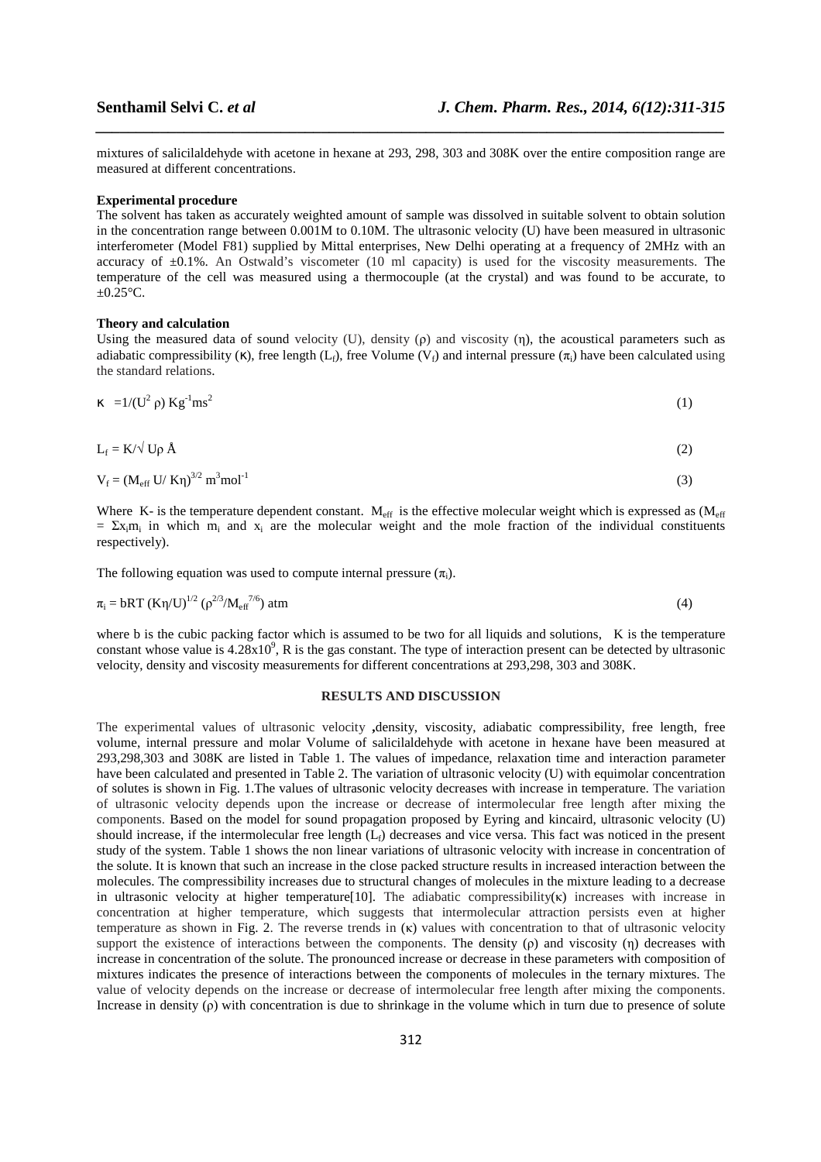mixtures of salicilaldehyde with acetone in hexane at 293, 298, 303 and 308K over the entire composition range are measured at different concentrations.

*\_\_\_\_\_\_\_\_\_\_\_\_\_\_\_\_\_\_\_\_\_\_\_\_\_\_\_\_\_\_\_\_\_\_\_\_\_\_\_\_\_\_\_\_\_\_\_\_\_\_\_\_\_\_\_\_\_\_\_\_\_\_\_\_\_\_\_\_\_\_\_\_\_\_\_\_\_\_*

### **Experimental procedure**

The solvent has taken as accurately weighted amount of sample was dissolved in suitable solvent to obtain solution in the concentration range between 0.001M to 0.10M. The ultrasonic velocity (U) have been measured in ultrasonic interferometer (Model F81) supplied by Mittal enterprises, New Delhi operating at a frequency of 2MHz with an accuracy of  $\pm 0.1$ %. An Ostwald's viscometer (10 ml capacity) is used for the viscosity measurements. The temperature of the cell was measured using a thermocouple (at the crystal) and was found to be accurate, to  $\pm 0.25$ °C.

### **Theory and calculation**

Using the measured data of sound velocity (U), density (ρ) and viscosity (η), the acoustical parameters such as adiabatic compressibility (κ), free length (L<sub>f</sub>), free Volume (V<sub>f</sub>) and internal pressure ( $\pi$ <sub>i</sub>) have been calculated using the standard relations.

$$
\kappa = 1/(U^2 \rho) K g^{-1} m s^2 \tag{1}
$$

$$
L_f = K/\sqrt{U\rho} \, \mathring{A} \tag{2}
$$

$$
V_f = (M_{eff} U / K\eta)^{3/2} m^3 mol^{-1}
$$

Where K- is the temperature dependent constant. M<sub>eff</sub> is the effective molecular weight which is expressed as  $(M_{\text{eff}})$ =  $\Sigma x_i m_i$  in which  $m_i$  and  $x_i$  are the molecular weight and the mole fraction of the individual constituents respectively).

The following equation was used to compute internal pressure  $(\pi_i)$ .

$$
\pi_{i} = bRT (K\eta/U)^{1/2} (\rho^{2/3}/M_{\rm eff}^{7/6}) \text{ atm}
$$
 (4)

where b is the cubic packing factor which is assumed to be two for all liquids and solutions, K is the temperature constant whose value is  $4.28 \times 10^9$ , R is the gas constant. The type of interaction present can be detected by ultrasonic velocity, density and viscosity measurements for different concentrations at 293,298, 303 and 308K.

### **RESULTS AND DISCUSSION**

The experimental values of ultrasonic velocity **,**density, viscosity, adiabatic compressibility, free length, free volume, internal pressure and molar Volume of salicilaldehyde with acetone in hexane have been measured at 293,298,303 and 308K are listed in Table 1. The values of impedance, relaxation time and interaction parameter have been calculated and presented in Table 2. The variation of ultrasonic velocity (U) with equimolar concentration of solutes is shown in Fig. 1.The values of ultrasonic velocity decreases with increase in temperature. The variation of ultrasonic velocity depends upon the increase or decrease of intermolecular free length after mixing the components. Based on the model for sound propagation proposed by Eyring and kincaird, ultrasonic velocity (U) should increase, if the intermolecular free length  $(L_f)$  decreases and vice versa. This fact was noticed in the present study of the system. Table 1 shows the non linear variations of ultrasonic velocity with increase in concentration of the solute. It is known that such an increase in the close packed structure results in increased interaction between the molecules. The compressibility increases due to structural changes of molecules in the mixture leading to a decrease in ultrasonic velocity at higher temperature<sup>[10]</sup>. The adiabatic compressibility $(k)$  increases with increase in concentration at higher temperature, which suggests that intermolecular attraction persists even at higher temperature as shown in Fig. 2. The reverse trends in  $(\kappa)$  values with concentration to that of ultrasonic velocity support the existence of interactions between the components. The density (ρ) and viscosity (η) decreases with increase in concentration of the solute. The pronounced increase or decrease in these parameters with composition of mixtures indicates the presence of interactions between the components of molecules in the ternary mixtures. The value of velocity depends on the increase or decrease of intermolecular free length after mixing the components. Increase in density (ρ) with concentration is due to shrinkage in the volume which in turn due to presence of solute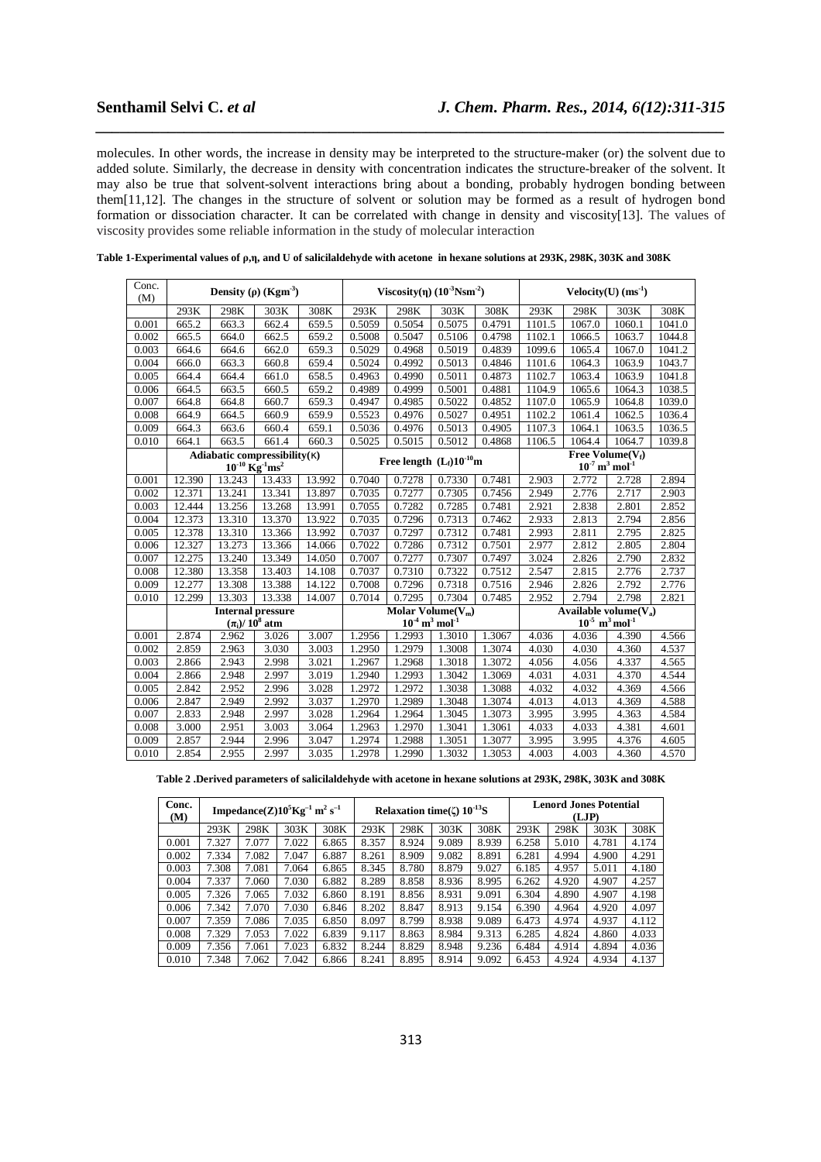molecules. In other words, the increase in density may be interpreted to the structure-maker (or) the solvent due to added solute. Similarly, the decrease in density with concentration indicates the structure-breaker of the solvent. It may also be true that solvent-solvent interactions bring about a bonding, probably hydrogen bonding between them[11,12]. The changes in the structure of solvent or solution may be formed as a result of hydrogen bond formation or dissociation character. It can be correlated with change in density and viscosity[13]. The values of viscosity provides some reliable information in the study of molecular interaction

*\_\_\_\_\_\_\_\_\_\_\_\_\_\_\_\_\_\_\_\_\_\_\_\_\_\_\_\_\_\_\_\_\_\_\_\_\_\_\_\_\_\_\_\_\_\_\_\_\_\_\_\_\_\_\_\_\_\_\_\_\_\_\_\_\_\_\_\_\_\_\_\_\_\_\_\_\_\_*

| Conc.<br>(M) |                                                                                     |        | Density ( $\rho$ ) (Kgm <sup>-3</sup> ) |        | Viscosity( $\eta$ ) ( $10^{-3}$ Nsm <sup>-2</sup> ) |                              |        |        | $Velocity(U) (ms-1)$                                              |        |        |        |
|--------------|-------------------------------------------------------------------------------------|--------|-----------------------------------------|--------|-----------------------------------------------------|------------------------------|--------|--------|-------------------------------------------------------------------|--------|--------|--------|
|              | 293K                                                                                | 298K   | 303K                                    | 308K   | 293K                                                | 298K                         | 303K   | 308K   | 293K                                                              | 298K   | 303K   | 308K   |
| 0.001        | 665.2                                                                               | 663.3  | 662.4                                   | 659.5  | 0.5059                                              | 0.5054                       | 0.5075 | 0.4791 | 1101.5                                                            | 1067.0 | 1060.1 | 1041.0 |
| 0.002        | 665.5                                                                               | 664.0  | 662.5                                   | 659.2  | 0.5008                                              | 0.5047                       | 0.5106 | 0.4798 | 1102.1                                                            | 1066.5 | 1063.7 | 1044.8 |
| 0.003        | 664.6                                                                               | 664.6  | 662.0                                   | 659.3  | 0.5029                                              | 0.4968                       | 0.5019 | 0.4839 | 1099.6                                                            | 1065.4 | 1067.0 | 1041.2 |
| 0.004        | 666.0                                                                               | 663.3  | 660.8                                   | 659.4  | 0.5024                                              | 0.4992                       | 0.5013 | 0.4846 | 1101.6                                                            | 1064.3 | 1063.9 | 1043.7 |
| 0.005        | 664.4                                                                               | 664.4  | 661.0                                   | 658.5  | 0.4963                                              | 0.4990                       | 0.5011 | 0.4873 | 1102.7                                                            | 1063.4 | 1063.9 | 1041.8 |
| 0.006        | 664.5                                                                               | 663.5  | 660.5                                   | 659.2  | 0.4989                                              | 0.4999                       | 0.5001 | 0.4881 | 1104.9                                                            | 1065.6 | 1064.3 | 1038.5 |
| 0.007        | 664.8                                                                               | 664.8  | 660.7                                   | 659.3  | 0.4947                                              | 0.4985                       | 0.5022 | 0.4852 | 1107.0                                                            | 1065.9 | 1064.8 | 1039.0 |
| 0.008        | 664.9                                                                               | 664.5  | 660.9                                   | 659.9  | 0.5523                                              | 0.4976                       | 0.5027 | 0.4951 | 1102.2                                                            | 1061.4 | 1062.5 | 1036.4 |
| 0.009        | 664.3                                                                               | 663.6  | 660.4                                   | 659.1  | 0.5036                                              | 0.4976                       | 0.5013 | 0.4905 | 1107.3                                                            | 1064.1 | 1063.5 | 1036.5 |
| 0.010        | 664.1                                                                               | 663.5  | 661.4                                   | 660.3  | 0.5025                                              | 0.5015                       | 0.5012 | 0.4868 | 1106.5                                                            | 1064.4 | 1064.7 | 1039.8 |
|              | Adiabatic compressibility $(\kappa)$<br>$10^{-10}$ Kg <sup>-1</sup> ms <sup>2</sup> |        |                                         |        |                                                     | Free length $(L_f)10^{-10}m$ |        |        | Free Volume $(V_f)$<br>$10^{-7}$ m <sup>3</sup> mol <sup>-1</sup> |        |        |        |
| 0.001        | 12.390                                                                              | 13.243 | 13.433                                  | 13.992 | 0.7040                                              | 0.7278                       | 0.7330 | 0.7481 | 2.903                                                             | 2.772  | 2.728  | 2.894  |
| 0.002        | 12.371                                                                              | 13.241 | 13.341                                  | 13.897 | 0.7035                                              | 0.7277                       | 0.7305 | 0.7456 | 2.949                                                             | 2.776  | 2.717  | 2.903  |
| 0.003        | 12.444                                                                              | 13.256 | 13.268                                  | 13.991 | 0.7055                                              | 0.7282                       | 0.7285 | 0.7481 | 2.921                                                             | 2.838  | 2.801  | 2.852  |
| 0.004        | 12.373                                                                              | 13.310 | 13.370                                  | 13.922 | 0.7035                                              | 0.7296                       | 0.7313 | 0.7462 | 2.933                                                             | 2.813  | 2.794  | 2.856  |
| 0.005        | 12.378                                                                              | 13.310 | 13.366                                  | 13.992 | 0.7037                                              | 0.7297                       | 0.7312 | 0.7481 | 2.993                                                             | 2.811  | 2.795  | 2.825  |
| 0.006        | 12.327                                                                              | 13.273 | 13.366                                  | 14.066 | 0.7022                                              | 0.7286                       | 0.7312 | 0.7501 | 2.977                                                             | 2.812  | 2.805  | 2.804  |
| 0.007        | 12.275                                                                              | 13.240 | 13.349                                  | 14.050 | 0.7007                                              | 0.7277                       | 0.7307 | 0.7497 | 3.024                                                             | 2.826  | 2.790  | 2.832  |
| 0.008        | 12.380                                                                              | 13.358 | 13.403                                  | 14.108 | 0.7037                                              | 0.7310                       | 0.7322 | 0.7512 | 2.547                                                             | 2.815  | 2.776  | 2.737  |
| 0.009        | 12.277                                                                              | 13.308 | 13.388                                  | 14.122 | 0.7008                                              | 0.7296                       | 0.7318 | 0.7516 | 2.946                                                             | 2.826  | 2.792  | 2.776  |
| 0.010        | 12.299                                                                              | 13.303 | 13.338                                  | 14.007 | 0.7014                                              | 0.7295                       | 0.7304 | 0.7485 | 2.952                                                             | 2.794  | 2.798  | 2.821  |
|              |                                                                                     |        | <b>Internal pressure</b>                |        | Molar Volume $(V_m)$                                |                              |        |        | Available volume $(V_a)$                                          |        |        |        |
|              |                                                                                     |        | $(\pi_i)/10^8$ atm                      |        | $10^4 \,\mathrm{m}^3 \,\mathrm{mol}^{-1}$           |                              |        |        | $10^{-5}$ m <sup>3</sup> mol <sup>-1</sup>                        |        |        |        |
| 0.001        | 2.874                                                                               | 2.962  | 3.026                                   | 3.007  | 1.2956                                              | 1.2993                       | 1.3010 | 1.3067 | 4.036                                                             | 4.036  | 4.390  | 4.566  |
| 0.002        | 2.859                                                                               | 2.963  | 3.030                                   | 3.003  | 1.2950                                              | 1.2979                       | 1.3008 | 1.3074 | 4.030                                                             | 4.030  | 4.360  | 4.537  |
| 0.003        | 2.866                                                                               | 2.943  | 2.998                                   | 3.021  | 1.2967                                              | 1.2968                       | 1.3018 | 1.3072 | 4.056                                                             | 4.056  | 4.337  | 4.565  |
| 0.004        | 2.866                                                                               | 2.948  | 2.997                                   | 3.019  | 1.2940                                              | 1.2993                       | 1.3042 | 1.3069 | 4.031                                                             | 4.031  | 4.370  | 4.544  |
| 0.005        | 2.842                                                                               | 2.952  | 2.996                                   | 3.028  | 1.2972                                              | 1.2972                       | 1.3038 | 1.3088 | 4.032                                                             | 4.032  | 4.369  | 4.566  |
| 0.006        | 2.847                                                                               | 2.949  | 2.992                                   | 3.037  | 1.2970                                              | 1.2989                       | 1.3048 | 1.3074 | 4.013                                                             | 4.013  | 4.369  | 4.588  |
| 0.007        | 2.833                                                                               | 2.948  | 2.997                                   | 3.028  | 1.2964                                              | 1.2964                       | 1.3045 | 1.3073 | 3.995                                                             | 3.995  | 4.363  | 4.584  |
| 0.008        | 3.000                                                                               | 2.951  | 3.003                                   | 3.064  | 1.2963                                              | 1.2970                       | 1.3041 | 1.3061 | 4.033                                                             | 4.033  | 4.381  | 4.601  |
| 0.009        | 2.857                                                                               | 2.944  | 2.996                                   | 3.047  | 1.2974                                              | 1.2988                       | 1.3051 | 1.3077 | 3.995                                                             | 3.995  | 4.376  | 4.605  |
| 0.010        | 2.854                                                                               | 2.955  | 2.997                                   | 3.035  | 1.2978                                              | 1.2990                       | 1.3032 | 1.3053 | 4.003                                                             | 4.003  | 4.360  | 4.570  |

|  |  |  | Table 1-Experimental values of ρ,η, and U of salicilaldehyde with acetone in hexane solutions at 293K, 298K, 303K and 308K |  |
|--|--|--|----------------------------------------------------------------------------------------------------------------------------|--|
|  |  |  |                                                                                                                            |  |

**Table 2 .Derived parameters of salicilaldehyde with acetone in hexane solutions at 293K, 298K, 303K and 308K** 

| Conc.<br>(M) |       |       | Impedance(Z) $10^5$ Kg <sup>-1</sup> m <sup>2</sup> s <sup>-1</sup> |       | Relaxation time( $\zeta$ ) 10 <sup>-13</sup> S |       |       |       | <b>Lenord Jones Potential</b><br>(LJP) |       |       |       |
|--------------|-------|-------|---------------------------------------------------------------------|-------|------------------------------------------------|-------|-------|-------|----------------------------------------|-------|-------|-------|
|              | 293K  | 298K  | 303K                                                                | 308K  | 293K                                           | 298K  | 303K  | 308K  | 293K                                   | 298K  | 303K  | 308K  |
| 0.001        | 7.327 | 7.077 | 7.022                                                               | 6.865 | 8.357                                          | 8.924 | 9.089 | 8.939 | 6.258                                  | 5.010 | 4.781 | 4.174 |
| 0.002        | 7.334 | 7.082 | 7.047                                                               | 6.887 | 8.261                                          | 8.909 | 9.082 | 8.891 | 6.281                                  | 4.994 | 4.900 | 4.291 |
| 0.003        | 7.308 | 7.081 | 7.064                                                               | 6.865 | 8.345                                          | 8.780 | 8.879 | 9.027 | 6.185                                  | 4.957 | 5.011 | 4.180 |
| 0.004        | 7.337 | 7.060 | 7.030                                                               | 6.882 | 8.289                                          | 8.858 | 8.936 | 8.995 | 6.262                                  | 4.920 | 4.907 | 4.257 |
| 0.005        | 7.326 | 7.065 | 7.032                                                               | 6.860 | 8.191                                          | 8.856 | 8.931 | 9.091 | 6.304                                  | 4.890 | 4.907 | 4.198 |
| 0.006        | 7.342 | 7.070 | 7.030                                                               | 6.846 | 8.202                                          | 8.847 | 8.913 | 9.154 | 6.390                                  | 4.964 | 4.920 | 4.097 |
| 0.007        | 7.359 | 7.086 | 7.035                                                               | 6.850 | 8.097                                          | 8.799 | 8.938 | 9.089 | 6.473                                  | 4.974 | 4.937 | 4.112 |
| 0.008        | 7.329 | 7.053 | 7.022                                                               | 6.839 | 9.117                                          | 8.863 | 8.984 | 9.313 | 6.285                                  | 4.824 | 4.860 | 4.033 |
| 0.009        | 7.356 | 7.061 | 7.023                                                               | 6.832 | 8.244                                          | 8.829 | 8.948 | 9.236 | 6.484                                  | 4.914 | 4.894 | 4.036 |
| 0.010        | 7.348 | 7.062 | 7.042                                                               | 6.866 | 8.241                                          | 8.895 | 8.914 | 9.092 | 6.453                                  | 4.924 | 4.934 | 4.137 |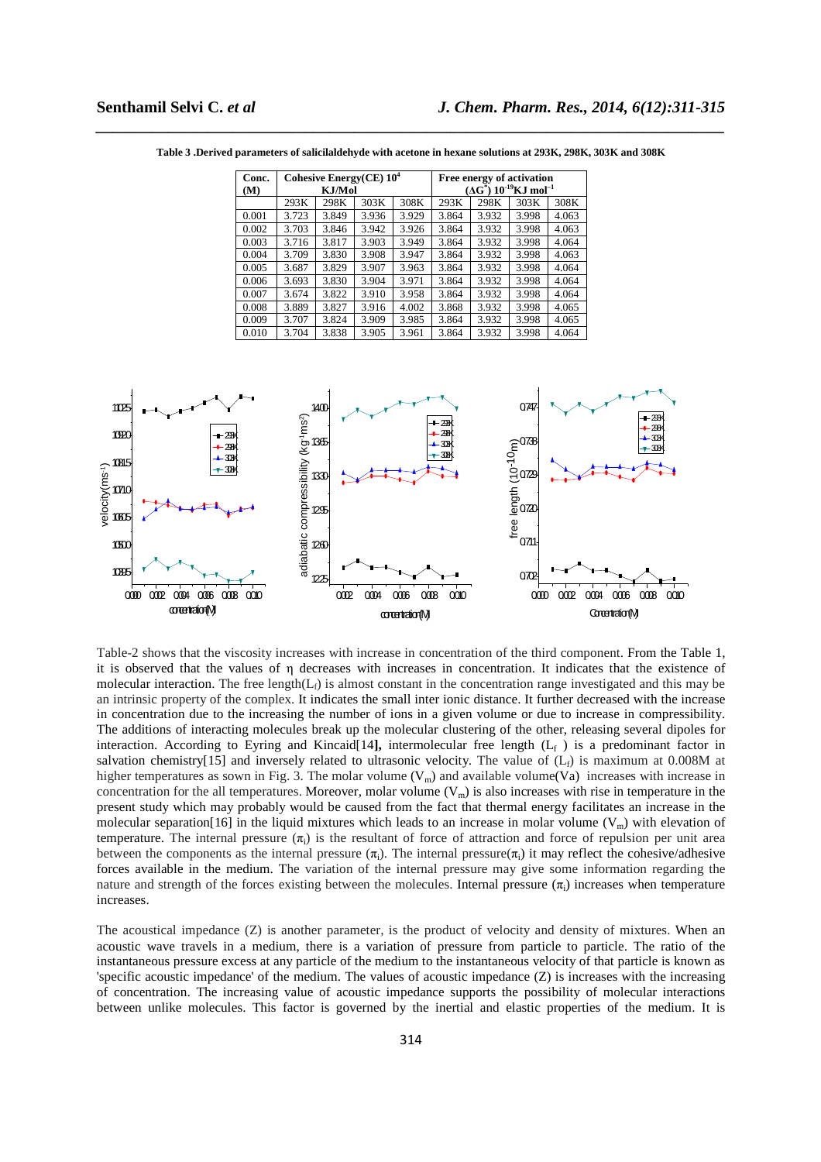| Conc. |       | Cohesive Energy(CE) $10^4$ |       |       | Free energy of activation                             |       |       |       |  |  |
|-------|-------|----------------------------|-------|-------|-------------------------------------------------------|-------|-------|-------|--|--|
| (M)   |       | KJ/Mol                     |       |       | $(\Delta G^*)$ 10 <sup>-19</sup> KJ mol <sup>-1</sup> |       |       |       |  |  |
|       | 293K  | 298K                       | 303K  | 308K  | 293K                                                  | 298K  | 303K  | 308K  |  |  |
| 0.001 | 3.723 | 3.849                      | 3.936 | 3.929 | 3.864                                                 | 3.932 | 3.998 | 4.063 |  |  |
| 0.002 | 3.703 | 3.846                      | 3.942 | 3.926 | 3.864                                                 | 3.932 | 3.998 | 4.063 |  |  |
| 0.003 | 3.716 | 3.817                      | 3.903 | 3.949 | 3.864                                                 | 3.932 | 3.998 | 4.064 |  |  |
| 0.004 | 3.709 | 3.830                      | 3.908 | 3.947 | 3.864                                                 | 3.932 | 3.998 | 4.063 |  |  |
| 0.005 | 3.687 | 3.829                      | 3.907 | 3.963 | 3.864                                                 | 3.932 | 3.998 | 4.064 |  |  |
| 0.006 | 3.693 | 3.830                      | 3.904 | 3.971 | 3.864                                                 | 3.932 | 3.998 | 4.064 |  |  |
| 0.007 | 3.674 | 3.822                      | 3.910 | 3.958 | 3.864                                                 | 3.932 | 3.998 | 4.064 |  |  |
| 0.008 | 3.889 | 3.827                      | 3.916 | 4.002 | 3.868                                                 | 3.932 | 3.998 | 4.065 |  |  |
| 0.009 | 3.707 | 3.824                      | 3.909 | 3.985 | 3.864                                                 | 3.932 | 3.998 | 4.065 |  |  |
| 0.010 | 3.704 | 3.838                      | 3.905 | 3.961 | 3.864                                                 | 3.932 | 3.998 | 4.064 |  |  |

*\_\_\_\_\_\_\_\_\_\_\_\_\_\_\_\_\_\_\_\_\_\_\_\_\_\_\_\_\_\_\_\_\_\_\_\_\_\_\_\_\_\_\_\_\_\_\_\_\_\_\_\_\_\_\_\_\_\_\_\_\_\_\_\_\_\_\_\_\_\_\_\_\_\_\_\_\_\_* **Table 3 .Derived parameters of salicilaldehyde with acetone in hexane solutions at 293K, 298K, 303K and 308K** 



Table-2 shows that the viscosity increases with increase in concentration of the third component. From the Table 1, it is observed that the values of η decreases with increases in concentration. It indicates that the existence of molecular interaction. The free length( $L_f$ ) is almost constant in the concentration range investigated and this may be an intrinsic property of the complex. It indicates the small inter ionic distance. It further decreased with the increase in concentration due to the increasing the number of ions in a given volume or due to increase in compressibility. The additions of interacting molecules break up the molecular clustering of the other, releasing several dipoles for interaction. According to Eyring and Kincaid[14], intermolecular free length  $(L_f)$  is a predominant factor in salvation chemistry[15] and inversely related to ultrasonic velocity. The value of  $(L_f)$  is maximum at 0.008M at higher temperatures as sown in Fig. 3. The molar volume  $(V_m)$  and available volume  $(V_a)$  increases with increase in concentration for the all temperatures. Moreover, molar volume  $(V_m)$  is also increases with rise in temperature in the present study which may probably would be caused from the fact that thermal energy facilitates an increase in the molecular separation[16] in the liquid mixtures which leads to an increase in molar volume  $(V_m)$  with elevation of temperature. The internal pressure  $(\pi_i)$  is the resultant of force of attraction and force of repulsion per unit area between the components as the internal pressure  $(\pi_i)$ . The internal pressure $(\pi_i)$  it may reflect the cohesive/adhesive forces available in the medium. The variation of the internal pressure may give some information regarding the nature and strength of the forces existing between the molecules. Internal pressure  $(\pi_i)$  increases when temperature increases.

The acoustical impedance (Z) is another parameter, is the product of velocity and density of mixtures. When an acoustic wave travels in a medium, there is a variation of pressure from particle to particle. The ratio of the instantaneous pressure excess at any particle of the medium to the instantaneous velocity of that particle is known as 'specific acoustic impedance' of the medium. The values of acoustic impedance  $(Z)$  is increases with the increasing of concentration. The increasing value of acoustic impedance supports the possibility of molecular interactions between unlike molecules. This factor is governed by the inertial and elastic properties of the medium. It is